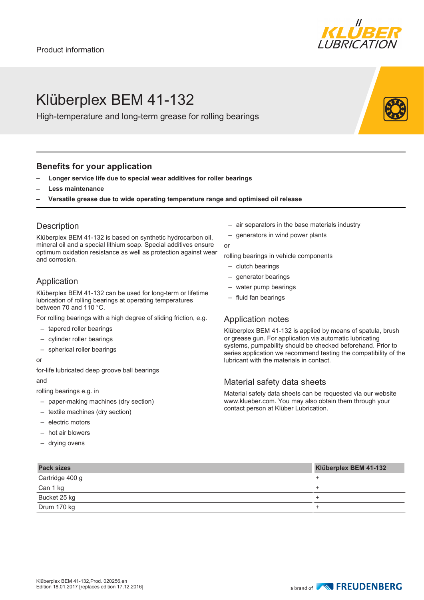

# Klüberplex BEM 41-132

High-temperature and long-term grease for rolling bearings

## **Benefits for your application**

- **– Longer service life due to special wear additives for roller bearings**
- **– Less maintenance**
- **– Versatile grease due to wide operating temperature range and optimised oil release**

## **Description**

Klüberplex BEM 41-132 is based on synthetic hydrocarbon oil, mineral oil and a special lithium soap. Special additives ensure optimum oxidation resistance as well as protection against wear and corrosion.

# Application

Klüberplex BEM 41-132 can be used for long-term or lifetime lubrication of rolling bearings at operating temperatures between 70 and 110 °C.

For rolling bearings with a high degree of sliding friction, e.g.

- tapered roller bearings
- cylinder roller bearings
- spherical roller bearings

#### or

for-life lubricated deep groove ball bearings

and

rolling bearings e.g. in

- paper-making machines (dry section)
- textile machines (dry section)
- electric motors
- hot air blowers
- drying ovens
- air separators in the base materials industry
- generators in wind power plants

rolling bearings in vehicle components

– clutch bearings

or

- generator bearings
- water pump bearings
- fluid fan bearings

## Application notes

Klüberplex BEM 41-132 is applied by means of spatula, brush or grease gun. For application via automatic lubricating systems, pumpability should be checked beforehand. Prior to series application we recommend testing the compatibility of the lubricant with the materials in contact.

## Material safety data sheets

Material safety data sheets can be requested via our website www.klueber.com. You may also obtain them through your contact person at Klüber Lubrication.

| <b>Pack sizes</b> | Klüberplex BEM 41-132 |
|-------------------|-----------------------|
| Cartridge 400 g   |                       |
| Can 1 kg          |                       |
| Bucket 25 kg      |                       |
| Drum 170 kg       |                       |